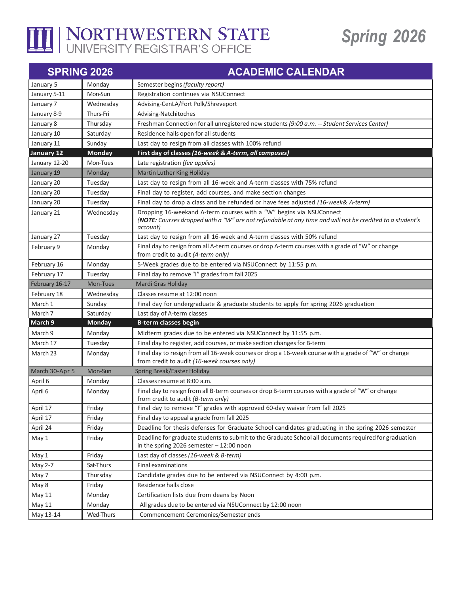

## *Spring 2026*

| <b>SPRING 2026</b> |               | <b>ACADEMIC CALENDAR</b>                                                                                                                                                                    |
|--------------------|---------------|---------------------------------------------------------------------------------------------------------------------------------------------------------------------------------------------|
| January 5          | Monday        | Semester begins (faculty report)                                                                                                                                                            |
| January 5-11       | Mon-Sun       | Registration continues via NSUConnect                                                                                                                                                       |
| January 7          | Wednesday     | Advising-CenLA/Fort Polk/Shreveport                                                                                                                                                         |
| January 8-9        | Thurs-Fri     | Advising-Natchitoches                                                                                                                                                                       |
| January 8          | Thursday      | Freshman Connection for all unregistered new students (9:00 a.m. -- Student Services Center)                                                                                                |
| January 10         | Saturday      | Residence halls open for all students                                                                                                                                                       |
| January 11         | Sunday        | Last day to resign from all classes with 100% refund                                                                                                                                        |
| January 12         | <b>Monday</b> | First day of classes (16-week & A-term, all campuses)                                                                                                                                       |
| January 12-20      | Mon-Tues      | Late registration (fee applies)                                                                                                                                                             |
| January 19         | Monday        | Martin Luther King Holiday                                                                                                                                                                  |
| January 20         | Tuesday       | Last day to resign from all 16-week and A-term classes with 75% refund                                                                                                                      |
| January 20         | Tuesday       | Final day to register, add courses, and make section changes                                                                                                                                |
| January 20         | Tuesday       | Final day to drop a class and be refunded or have fees adjusted (16-week& A-term)                                                                                                           |
| January 21         | Wednesday     | Dropping 16-weekand A-term courses with a "W" begins via NSUConnect<br>(NOTE: Courses dropped with a "W" are not refundable at any time and will not be credited to a student's<br>account) |
| January 27         | Tuesday       | Last day to resign from all 16-week and A-term classes with 50% refund                                                                                                                      |
| February 9         | Monday        | Final day to resign from all A-term courses or drop A-term courses with a grade of "W" or change<br>from credit to audit (A-term only)                                                      |
| February 16        | Monday        | 5-Week grades due to be entered via NSUConnect by 11:55 p.m.                                                                                                                                |
| February 17        | Tuesday       | Final day to remove "I" grades from fall 2025                                                                                                                                               |
| February 16-17     | Mon-Tues      | Mardi Gras Holiday                                                                                                                                                                          |
| February 18        | Wednesday     | Classes resume at 12:00 noon                                                                                                                                                                |
| March 1            | Sunday        | Final day for undergraduate & graduate students to apply for spring 2026 graduation                                                                                                         |
| March 7            | Saturday      | Last day of A-term classes                                                                                                                                                                  |
| March 9            | <b>Monday</b> | <b>B-term classes begin</b>                                                                                                                                                                 |
| March 9            | Monday        | Midterm grades due to be entered via NSUConnect by 11:55 p.m.                                                                                                                               |
| March 17           | Tuesday       | Final day to register, add courses, or make section changes for B-term                                                                                                                      |
| March 23           | Monday        | Final day to resign from all 16-week courses or drop a 16-week course with a grade of "W" or change<br>from credit to audit (16-week courses only)                                          |
| March 30-Apr 5     | Mon-Sun       | Spring Break/Easter Holiday                                                                                                                                                                 |
| April 6            | Monday        | Classes resume at 8:00 a.m.                                                                                                                                                                 |
| April 6            | Monday        | Final day to resign from all B-term courses or drop B-term courses with a grade of "W" or change<br>from credit to audit (B-term only)                                                      |
| April 17           | Friday        | Final day to remove "I" grades with approved 60-day waiver from fall 2025                                                                                                                   |
| April 17           | Friday        | Final day to appeal a grade from fall 2025                                                                                                                                                  |
| April 24           | Friday        | Deadline for thesis defenses for Graduate School candidates graduating in the spring 2026 semester                                                                                          |
| May 1              | Friday        | Deadline for graduate students to submit to the Graduate School all documents required for graduation                                                                                       |
|                    |               | in the spring 2026 semester $-12:00$ noon                                                                                                                                                   |
| May 1              | Friday        | Last day of classes (16-week & B-term)                                                                                                                                                      |
| May 2-7            | Sat-Thurs     | <b>Final examinations</b>                                                                                                                                                                   |
| May 7              | Thursday      | Candidate grades due to be entered via NSUConnect by 4:00 p.m.                                                                                                                              |
| May 8              | Friday        | Residence halls close                                                                                                                                                                       |
| May 11             | Monday        | Certification lists due from deans by Noon                                                                                                                                                  |
| May 11             | Monday        | All grades due to be entered via NSUConnect by 12:00 noon                                                                                                                                   |
| May 13-14          | Wed-Thurs     | Commencement Ceremonies/Semester ends                                                                                                                                                       |